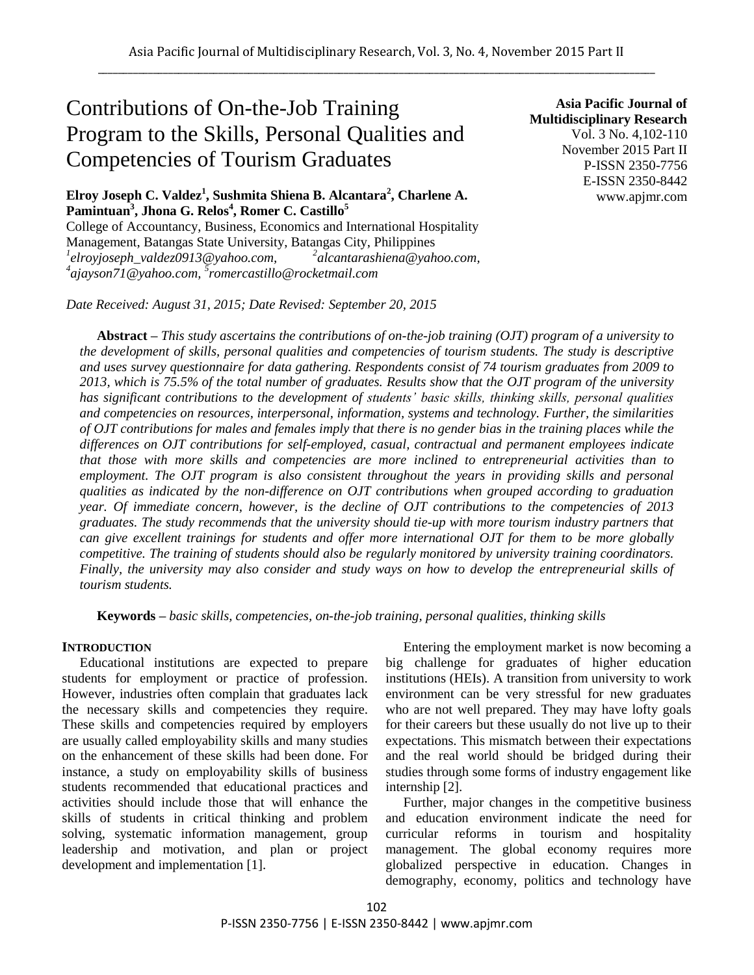# Contributions of On-the-Job Training Program to the Skills, Personal Qualities and Competencies of Tourism Graduates

**Elroy Joseph C. Valdez<sup>1</sup> , Sushmita Shiena B. Alcantara<sup>2</sup> , Charlene A. Pamintuan<sup>3</sup> , Jhona G. Relos<sup>4</sup> , Romer C. Castillo<sup>5</sup>**

College of Accountancy, Business, Economics and International Hospitality Management, Batangas State University, Batangas City, Philippines *1 elroyjoseph\_valdez0913@yahoo.com, <sup>2</sup> alcantarashiena@yahoo.com, 4 ajayson71@yahoo.com, 5 romercastillo@rocketmail.com*

*Date Received: August 31, 2015; Date Revised: September 20, 2015*

**Asia Pacific Journal of Multidisciplinary Research** Vol. 3 No. 4,102-110 November 2015 Part II P-ISSN 2350-7756 E-ISSN 2350-8442 www.apjmr.com

**Abstract –** *This study ascertains the contributions of on-the-job training (OJT) program of a university to the development of skills, personal qualities and competencies of tourism students. The study is descriptive and uses survey questionnaire for data gathering. Respondents consist of 74 tourism graduates from 2009 to 2013, which is 75.5% of the total number of graduates. Results show that the OJT program of the university has significant contributions to the development of students' basic skills, thinking skills, personal qualities and competencies on resources, interpersonal, information, systems and technology. Further, the similarities of OJT contributions for males and females imply that there is no gender bias in the training places while the differences on OJT contributions for self-employed, casual, contractual and permanent employees indicate that those with more skills and competencies are more inclined to entrepreneurial activities than to employment. The OJT program is also consistent throughout the years in providing skills and personal qualities as indicated by the non-difference on OJT contributions when grouped according to graduation year. Of immediate concern, however, is the decline of OJT contributions to the competencies of 2013 graduates. The study recommends that the university should tie-up with more tourism industry partners that can give excellent trainings for students and offer more international OJT for them to be more globally competitive. The training of students should also be regularly monitored by university training coordinators. Finally, the university may also consider and study ways on how to develop the entrepreneurial skills of tourism students.*

**Keywords** *– basic skills, competencies, on-the-job training, personal qualities, thinking skills*

#### **INTRODUCTION**

Educational institutions are expected to prepare students for employment or practice of profession. However, industries often complain that graduates lack the necessary skills and competencies they require. These skills and competencies required by employers are usually called employability skills and many studies on the enhancement of these skills had been done. For instance, a study on employability skills of business students recommended that educational practices and activities should include those that will enhance the skills of students in critical thinking and problem solving, systematic information management, group leadership and motivation, and plan or project development and implementation [1].

Entering the employment market is now becoming a big challenge for graduates of higher education institutions (HEIs). A transition from university to work environment can be very stressful for new graduates who are not well prepared. They may have lofty goals for their careers but these usually do not live up to their expectations. This mismatch between their expectations and the real world should be bridged during their studies through some forms of industry engagement like internship [2].

Further, major changes in the competitive business and education environment indicate the need for curricular reforms in tourism and hospitality management. The global economy requires more globalized perspective in education. Changes in demography, economy, politics and technology have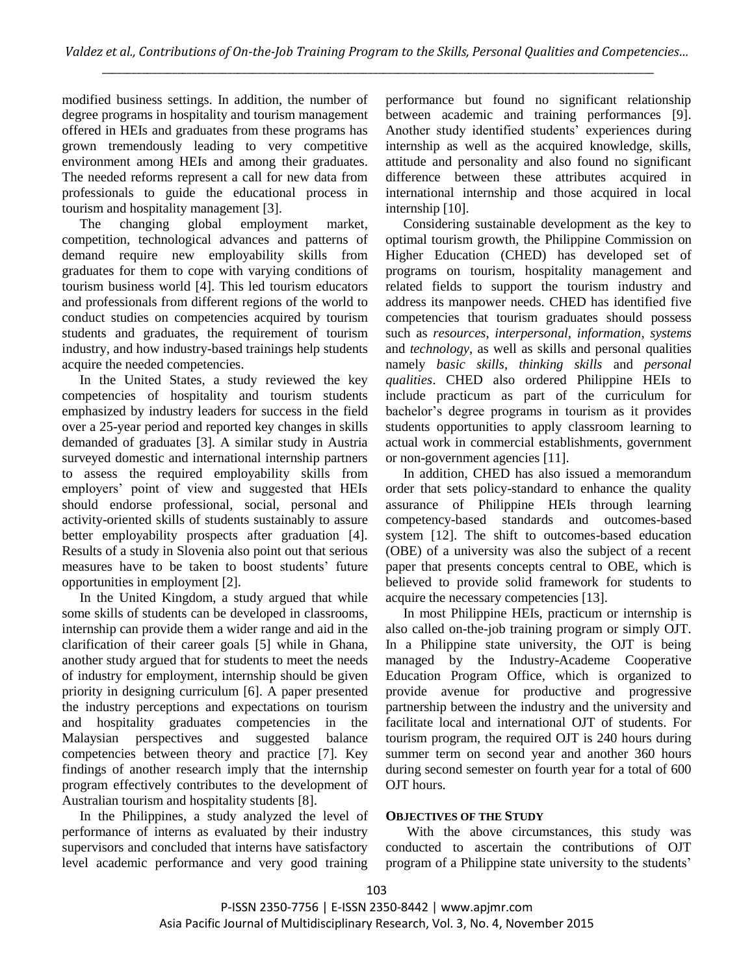modified business settings. In addition, the number of degree programs in hospitality and tourism management offered in HEIs and graduates from these programs has grown tremendously leading to very competitive environment among HEIs and among their graduates. The needed reforms represent a call for new data from professionals to guide the educational process in tourism and hospitality management [3].

The changing global employment market, competition, technological advances and patterns of demand require new employability skills from graduates for them to cope with varying conditions of tourism business world [4]. This led tourism educators and professionals from different regions of the world to conduct studies on competencies acquired by tourism students and graduates, the requirement of tourism industry, and how industry-based trainings help students acquire the needed competencies.

In the United States, a study reviewed the key competencies of hospitality and tourism students emphasized by industry leaders for success in the field over a 25-year period and reported key changes in skills demanded of graduates [3]. A similar study in Austria surveyed domestic and international internship partners to assess the required employability skills from employers' point of view and suggested that HEIs should endorse professional, social, personal and activity-oriented skills of students sustainably to assure better employability prospects after graduation [4]. Results of a study in Slovenia also point out that serious measures have to be taken to boost students' future opportunities in employment [2].

In the United Kingdom, a study argued that while some skills of students can be developed in classrooms, internship can provide them a wider range and aid in the clarification of their career goals [5] while in Ghana, another study argued that for students to meet the needs of industry for employment, internship should be given priority in designing curriculum [6]. A paper presented the industry perceptions and expectations on tourism and hospitality graduates competencies in the Malaysian perspectives and suggested balance competencies between theory and practice [7]. Key findings of another research imply that the internship program effectively contributes to the development of Australian tourism and hospitality students [8].

In the Philippines, a study analyzed the level of performance of interns as evaluated by their industry supervisors and concluded that interns have satisfactory level academic performance and very good training performance but found no significant relationship between academic and training performances [9]. Another study identified students' experiences during internship as well as the acquired knowledge, skills, attitude and personality and also found no significant difference between these attributes acquired in international internship and those acquired in local internship [10].

Considering sustainable development as the key to optimal tourism growth, the Philippine Commission on Higher Education (CHED) has developed set of programs on tourism, hospitality management and related fields to support the tourism industry and address its manpower needs. CHED has identified five competencies that tourism graduates should possess such as *resources*, *interpersonal*, *information*, *systems* and *technology*, as well as skills and personal qualities namely *basic skills*, *thinking skills* and *personal qualities*. CHED also ordered Philippine HEIs to include practicum as part of the curriculum for bachelor's degree programs in tourism as it provides students opportunities to apply classroom learning to actual work in commercial establishments, government or non-government agencies [11].

In addition, CHED has also issued a memorandum order that sets policy-standard to enhance the quality assurance of Philippine HEIs through learning competency-based standards and outcomes-based system [12]. The shift to outcomes-based education (OBE) of a university was also the subject of a recent paper that presents concepts central to OBE, which is believed to provide solid framework for students to acquire the necessary competencies [13].

In most Philippine HEIs, practicum or internship is also called on-the-job training program or simply OJT. In a Philippine state university, the OJT is being managed by the Industry-Academe Cooperative Education Program Office, which is organized to provide avenue for productive and progressive partnership between the industry and the university and facilitate local and international OJT of students. For tourism program, the required OJT is 240 hours during summer term on second year and another 360 hours during second semester on fourth year for a total of 600 OJT hours.

# **OBJECTIVES OF THE STUDY**

With the above circumstances, this study was conducted to ascertain the contributions of OJT program of a Philippine state university to the students'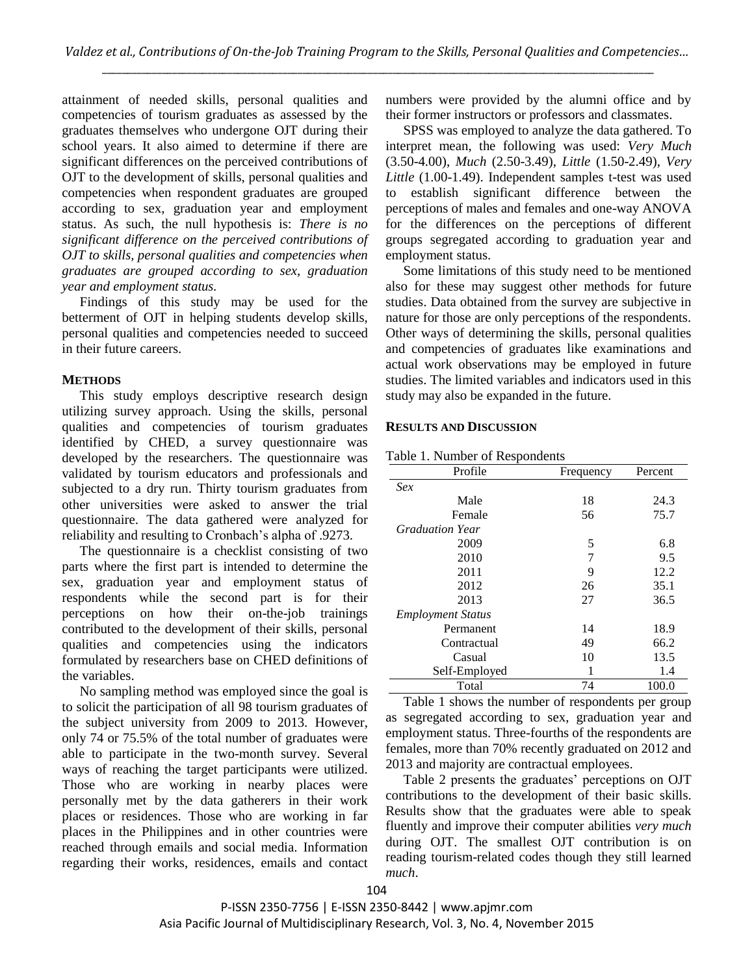attainment of needed skills, personal qualities and competencies of tourism graduates as assessed by the graduates themselves who undergone OJT during their school years. It also aimed to determine if there are significant differences on the perceived contributions of OJT to the development of skills, personal qualities and competencies when respondent graduates are grouped according to sex, graduation year and employment status. As such, the null hypothesis is: *There is no significant difference on the perceived contributions of OJT to skills, personal qualities and competencies when graduates are grouped according to sex, graduation year and employment status.*

Findings of this study may be used for the betterment of OJT in helping students develop skills, personal qualities and competencies needed to succeed in their future careers.

## **METHODS**

This study employs descriptive research design utilizing survey approach. Using the skills, personal qualities and competencies of tourism graduates identified by CHED, a survey questionnaire was developed by the researchers. The questionnaire was validated by tourism educators and professionals and subjected to a dry run. Thirty tourism graduates from other universities were asked to answer the trial questionnaire. The data gathered were analyzed for reliability and resulting to Cronbach's alpha of .9273.

The questionnaire is a checklist consisting of two parts where the first part is intended to determine the sex, graduation year and employment status of respondents while the second part is for their perceptions on how their on-the-job trainings contributed to the development of their skills, personal qualities and competencies using the indicators formulated by researchers base on CHED definitions of the variables.

No sampling method was employed since the goal is to solicit the participation of all 98 tourism graduates of the subject university from 2009 to 2013. However, only 74 or 75.5% of the total number of graduates were able to participate in the two-month survey. Several ways of reaching the target participants were utilized. Those who are working in nearby places were personally met by the data gatherers in their work places or residences. Those who are working in far places in the Philippines and in other countries were reached through emails and social media. Information regarding their works, residences, emails and contact numbers were provided by the alumni office and by their former instructors or professors and classmates.

SPSS was employed to analyze the data gathered. To interpret mean, the following was used: *Very Much* (3.50-4.00), *Much* (2.50-3.49), *Little* (1.50-2.49), *Very Little* (1.00-1.49). Independent samples t-test was used to establish significant difference between the perceptions of males and females and one-way ANOVA for the differences on the perceptions of different groups segregated according to graduation year and employment status.

Some limitations of this study need to be mentioned also for these may suggest other methods for future studies. Data obtained from the survey are subjective in nature for those are only perceptions of the respondents. Other ways of determining the skills, personal qualities and competencies of graduates like examinations and actual work observations may be employed in future studies. The limited variables and indicators used in this study may also be expanded in the future.

## **RESULTS AND DISCUSSION**

| Profile                  | Frequency | Percent |
|--------------------------|-----------|---------|
| Sex                      |           |         |
| Male                     | 18        | 24.3    |
| Female                   | 56        | 75.7    |
| <b>Graduation Year</b>   |           |         |
| 2009                     | 5         | 6.8     |
| 2010                     | 7         | 9.5     |
| 2011                     | 9         | 12.2    |
| 2012                     | 26        | 35.1    |
| 2013                     | 27        | 36.5    |
| <b>Employment Status</b> |           |         |
| Permanent                | 14        | 18.9    |
| Contractual              | 49        | 66.2    |
| Casual                   | 10        | 13.5    |
| Self-Employed            |           | 1.4     |
| Total                    | 74        | 100.0   |

Table 1 shows the number of respondents per group as segregated according to sex, graduation year and employment status. Three-fourths of the respondents are females, more than 70% recently graduated on 2012 and 2013 and majority are contractual employees.

Table 2 presents the graduates' perceptions on OJT contributions to the development of their basic skills. Results show that the graduates were able to speak fluently and improve their computer abilities *very much* during OJT. The smallest OJT contribution is on reading tourism-related codes though they still learned *much*.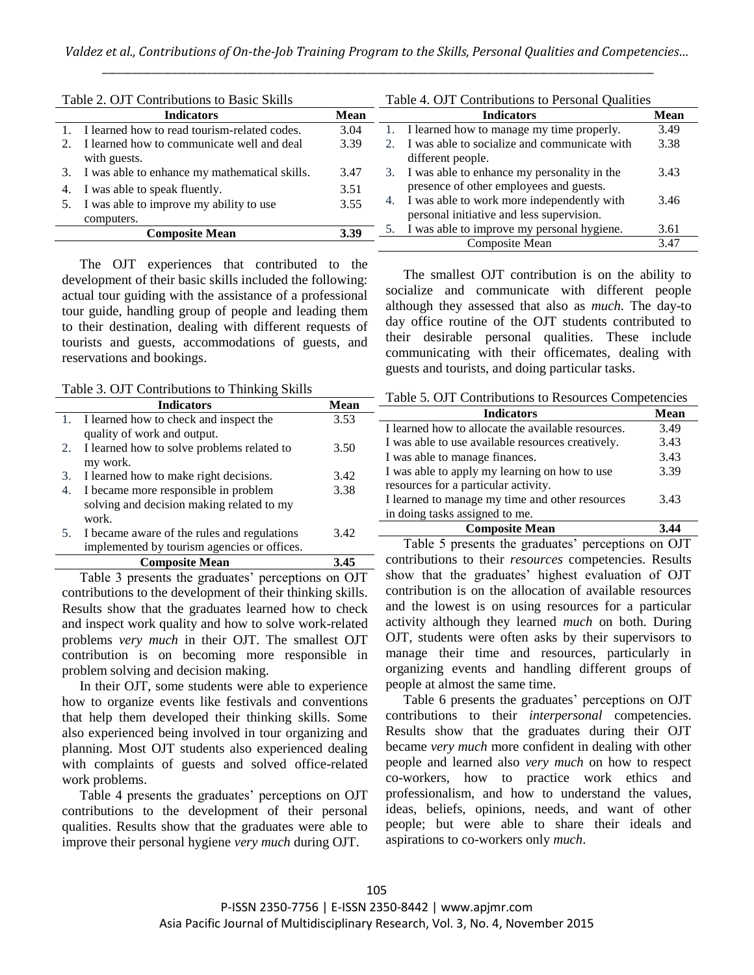| Table 2. OJT Contributions to Basic Skills |                                                            |             | Table 4. OJT Contributions to Personal Qualities |                                                                                         |      |  |
|--------------------------------------------|------------------------------------------------------------|-------------|--------------------------------------------------|-----------------------------------------------------------------------------------------|------|--|
|                                            | <b>Indicators</b>                                          | <b>Mean</b> |                                                  | <b>Mean</b>                                                                             |      |  |
|                                            | I learned how to read tourism-related codes.               | 3.04        | 1.                                               | I learned how to manage my time properly.                                               | 3.49 |  |
|                                            | I learned how to communicate well and deal<br>with guests. | 3.39        |                                                  | I was able to socialize and communicate with<br>different people.                       | 3.38 |  |
| 3.                                         | I was able to enhance my mathematical skills.              | 3.47        |                                                  | 3. I was able to enhance my personality in the                                          | 3.43 |  |
| 4.                                         | I was able to speak fluently.                              | 3.51        |                                                  | presence of other employees and guests.                                                 |      |  |
|                                            | I was able to improve my ability to use<br>computers.      | 3.55        | 4.                                               | I was able to work more independently with<br>personal initiative and less supervision. | 3.46 |  |
|                                            | <b>Composite Mean</b>                                      | 3.39        |                                                  | I was able to improve my personal hygiene.                                              | 3.61 |  |
|                                            |                                                            |             |                                                  | Composite Mean                                                                          | 3.47 |  |

The OJT experiences that contributed to the development of their basic skills included the following: actual tour guiding with the assistance of a professional tour guide, handling group of people and leading them to their destination, dealing with different requests of tourists and guests, accommodations of guests, and reservations and bookings.

Table 3. OJT Contributions to Thinking Skills

|    | <b>Indicators</b>                           | Mean |
|----|---------------------------------------------|------|
|    | 1. I learned how to check and inspect the   | 3.53 |
|    | quality of work and output.                 |      |
| 2. | I learned how to solve problems related to  | 3.50 |
|    | my work.                                    |      |
| 3. | I learned how to make right decisions.      | 3.42 |
| 4. | I became more responsible in problem        | 3.38 |
|    | solving and decision making related to my   |      |
|    | work.                                       |      |
| 5. | I became aware of the rules and regulations | 3.42 |
|    | implemented by tourism agencies or offices. |      |
|    | <b>Composite Mean</b>                       | 3.4  |

Table 3 presents the graduates' perceptions on OJT contributions to the development of their thinking skills. Results show that the graduates learned how to check and inspect work quality and how to solve work-related problems *very much* in their OJT. The smallest OJT contribution is on becoming more responsible in problem solving and decision making.

In their OJT, some students were able to experience how to organize events like festivals and conventions that help them developed their thinking skills. Some also experienced being involved in tour organizing and planning. Most OJT students also experienced dealing with complaints of guests and solved office-related work problems.

Table 4 presents the graduates' perceptions on OJT contributions to the development of their personal qualities. Results show that the graduates were able to improve their personal hygiene *very much* during OJT.

day office routine of the OJT students contributed to their desirable personal qualities. These include communicating with their officemates, dealing with guests and tourists, and doing particular tasks.

Table 5. OJT Contributions to Resources Competencies

The smallest OJT contribution is on the ability to socialize and communicate with different people although they assessed that also as *much*. The day-to

| Lavie J. OJ I Contributions to Resources Competencies |      |  |  |  |
|-------------------------------------------------------|------|--|--|--|
| <b>Indicators</b>                                     | Mean |  |  |  |
| I learned how to allocate the available resources.    | 3.49 |  |  |  |
| I was able to use available resources creatively.     | 3.43 |  |  |  |
| I was able to manage finances.                        | 3.43 |  |  |  |
| I was able to apply my learning on how to use         | 3.39 |  |  |  |
| resources for a particular activity.                  |      |  |  |  |
| I learned to manage my time and other resources       | 3.43 |  |  |  |
| in doing tasks assigned to me.                        |      |  |  |  |
| <b>Composite Mean</b>                                 |      |  |  |  |

Table 5 presents the graduates' perceptions on OJT contributions to their *resources* competencies. Results show that the graduates' highest evaluation of OJT contribution is on the allocation of available resources and the lowest is on using resources for a particular activity although they learned *much* on both. During OJT, students were often asks by their supervisors to manage their time and resources, particularly in organizing events and handling different groups of people at almost the same time.

Table 6 presents the graduates' perceptions on OJT contributions to their *interpersonal* competencies. Results show that the graduates during their OJT became *very much* more confident in dealing with other people and learned also *very much* on how to respect co-workers, how to practice work ethics and professionalism, and how to understand the values, ideas, beliefs, opinions, needs, and want of other people; but were able to share their ideals and aspirations to co-workers only *much*.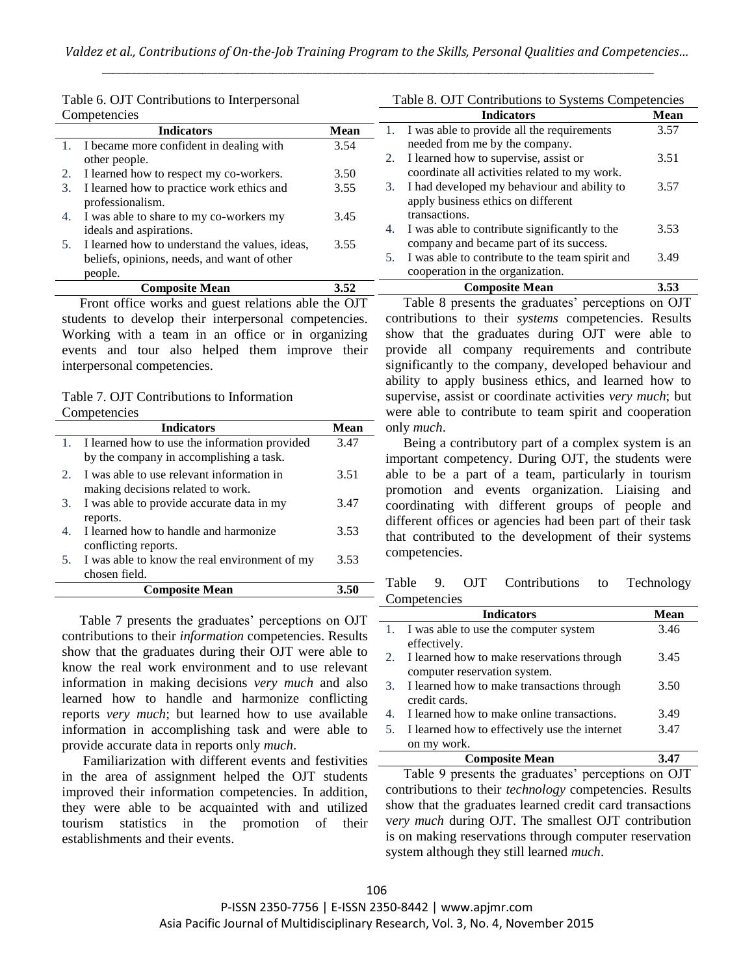|    | Competencies                                                  |             |    | <b>Indicators</b>                                                                 | <b>Mean</b> |
|----|---------------------------------------------------------------|-------------|----|-----------------------------------------------------------------------------------|-------------|
|    | <b>Indicators</b>                                             | <b>Mean</b> |    | I was able to provide all the requirements                                        | 3.57        |
|    | I became more confident in dealing with                       | 3.54        |    | needed from me by the company.                                                    |             |
|    | other people.                                                 |             | 2. | I learned how to supervise, assist or                                             | 3.51        |
|    | 2. I learned how to respect my co-workers.                    | 3.50        |    | coordinate all activities related to my work.                                     |             |
| 3. | I learned how to practice work ethics and<br>professionalism. | 3.55        | 3. | I had developed my behaviour and ability to<br>apply business ethics on different | 3.57        |
| 4. | I was able to share to my co-workers my                       | 3.45        |    | transactions.                                                                     |             |
|    | ideals and aspirations.                                       |             | 4. | I was able to contribute significantly to the                                     | 3.53        |
|    | 5. I learned how to understand the values, ideas,             | 3.55        |    | company and became part of its success.                                           |             |
|    | beliefs, opinions, needs, and want of other                   |             | 5. | I was able to contribute to the team spirit and                                   | 3.49        |
|    | people.                                                       |             |    | cooperation in the organization.                                                  |             |
|    | <b>Composite Mean</b>                                         | 3.52        |    | <b>Composite Mean</b>                                                             | 3.53        |

Table 6. OJT Contributions to Interpersonal

Front office works and guest relations able the OJT students to develop their interpersonal competencies. Working with a team in an office or in organizing events and tour also helped them improve their interpersonal competencies.

## Table 7. OJT Contributions to Information Competencies

|    | <b>Indicators</b>                             | Mean |
|----|-----------------------------------------------|------|
|    | I learned how to use the information provided | 3.47 |
|    | by the company in accomplishing a task.       |      |
| 2. | I was able to use relevant information in     | 3.51 |
|    | making decisions related to work.             |      |
| 3. | I was able to provide accurate data in my     | 3.47 |
|    | reports.                                      |      |
| 4. | I learned how to handle and harmonize         | 3.53 |
|    | conflicting reports.                          |      |
| 5. | I was able to know the real environment of my | 3.53 |
|    | chosen field.                                 |      |
|    | <b>Composite Mean</b>                         | 3.50 |

Table 7 presents the graduates' perceptions on OJT contributions to their *information* competencies. Results show that the graduates during their OJT were able to know the real work environment and to use relevant information in making decisions *very much* and also learned how to handle and harmonize conflicting reports *very much*; but learned how to use available information in accomplishing task and were able to provide accurate data in reports only *much*.

Familiarization with different events and festivities in the area of assignment helped the OJT students improved their information competencies. In addition, they were able to be acquainted with and utilized tourism statistics in the promotion of their establishments and their events.

Table 8 presents the graduates' perceptions on OJT contributions to their *systems* competencies. Results show that the graduates during OJT were able to provide all company requirements and contribute significantly to the company, developed behaviour and ability to apply business ethics, and learned how to supervise, assist or coordinate activities *very much*; but were able to contribute to team spirit and cooperation only *much*.

Table 8. OJT Contributions to Systems Competencies

Being a contributory part of a complex system is an important competency. During OJT, the students were able to be a part of a team, particularly in tourism promotion and events organization. Liaising and coordinating with different groups of people and different offices or agencies had been part of their task that contributed to the development of their systems competencies.

Table 9. OJT Contributions to Technology **Competencies** 

|    | <b>Indicators</b>                             | Mean |
|----|-----------------------------------------------|------|
|    | 1. I was able to use the computer system      | 3.46 |
|    | effectively.                                  |      |
|    | I learned how to make reservations through    | 3.45 |
|    | computer reservation system.                  |      |
| 3. | I learned how to make transactions through    | 3.50 |
|    | credit cards.                                 |      |
| 4. | I learned how to make online transactions.    | 3.49 |
| 5. | I learned how to effectively use the internet | 3.47 |
|    | on my work.                                   |      |
|    | <b>Composite Mean</b>                         |      |

Table 9 presents the graduates' perceptions on OJT contributions to their *technology* competencies. Results show that the graduates learned credit card transactions v*ery much* during OJT. The smallest OJT contribution is on making reservations through computer reservation system although they still learned *much*.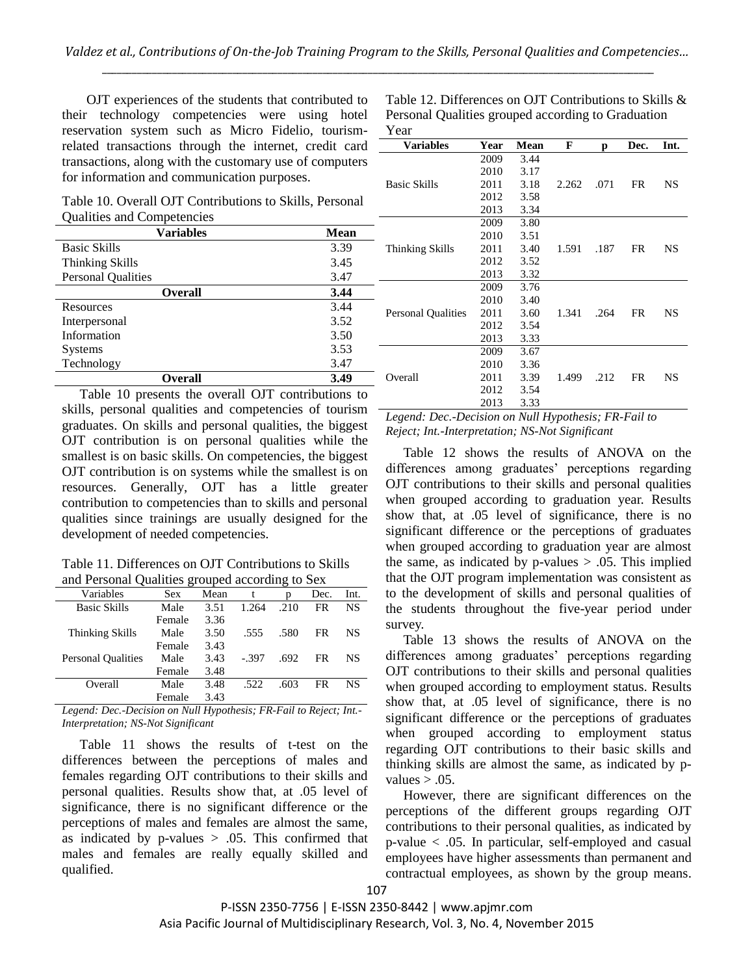OJT experiences of the students that contributed to their technology competencies were using hotel reservation system such as Micro Fidelio, tourismrelated transactions through the internet, credit card transactions, along with the customary use of computers for information and communication purposes.

Table 10. Overall OJT Contributions to Skills, Personal Qualities and Competencies

| <b>Variables</b>          | <b>Mean</b> |
|---------------------------|-------------|
| <b>Basic Skills</b>       | 3.39        |
| <b>Thinking Skills</b>    | 3.45        |
| <b>Personal Qualities</b> | 3.47        |
| <b>Overall</b>            | 3.44        |
| Resources                 | 3.44        |
| Interpersonal             | 3.52        |
| Information               | 3.50        |
| <b>Systems</b>            | 3.53        |
| Technology                | 3.47        |
| Overall                   | 3.49        |

Table 12. Differences on OJT Contributions to Skills & Personal Qualities grouped according to Graduation Year

| <b>Variables</b>          | Year | Mean | F     | р    | Dec.      | Int.      |
|---------------------------|------|------|-------|------|-----------|-----------|
|                           | 2009 | 3.44 |       |      |           |           |
|                           | 2010 | 3.17 |       |      |           |           |
| <b>Basic Skills</b>       | 2011 | 3.18 | 2.262 | .071 | FR        | NS        |
|                           | 2012 | 3.58 |       |      |           |           |
|                           | 2013 | 3.34 |       |      |           |           |
|                           | 2009 | 3.80 |       |      |           |           |
|                           | 2010 | 3.51 |       |      |           |           |
| Thinking Skills           | 2011 | 3.40 | 1.591 | .187 | FR        | <b>NS</b> |
|                           | 2012 | 3.52 |       |      |           |           |
|                           | 2013 | 3.32 |       |      |           |           |
|                           | 2009 | 3.76 |       |      |           |           |
|                           | 2010 | 3.40 |       |      |           |           |
| <b>Personal Qualities</b> | 2011 | 3.60 | 1.341 | .264 | <b>FR</b> | <b>NS</b> |
|                           | 2012 | 3.54 |       |      |           |           |
|                           | 2013 | 3.33 |       |      |           |           |
|                           | 2009 | 3.67 |       |      |           |           |
|                           | 2010 | 3.36 |       |      |           |           |
| Overall                   | 2011 | 3.39 | 1.499 | .212 | FR        | <b>NS</b> |
|                           | 2012 | 3.54 |       |      |           |           |
|                           | 2013 | 3.33 |       |      |           |           |

Table 10 presents the overall OJT contributions to skills, personal qualities and competencies of tourism graduates. On skills and personal qualities, the biggest OJT contribution is on personal qualities while the smallest is on basic skills. On competencies, the biggest OJT contribution is on systems while the smallest is on resources. Generally, OJT has a little greater contribution to competencies than to skills and personal qualities since trainings are usually designed for the development of needed competencies.

Table 11. Differences on OJT Contributions to Skills and Personal Qualities grouped according to Sex

| $\frac{1}{2}$ and $\frac{1}{2}$ and $\frac{1}{2}$ and $\frac{1}{2}$ are $\frac{1}{2}$ and $\frac{1}{2}$ are $\frac{1}{2}$ and $\frac{1}{2}$ are $\frac{1}{2}$ |            |      |        |      |      |      |
|---------------------------------------------------------------------------------------------------------------------------------------------------------------|------------|------|--------|------|------|------|
| Variables                                                                                                                                                     | <b>Sex</b> | Mean | t      | n    | Dec. | Int. |
| <b>Basic Skills</b>                                                                                                                                           | Male       | 3.51 | 1.264  | .210 | FR   | NS   |
|                                                                                                                                                               | Female     | 3.36 |        |      |      |      |
| Thinking Skills                                                                                                                                               | Male       | 3.50 | .555   | .580 | FR   | NS.  |
|                                                                                                                                                               | Female     | 3.43 |        |      |      |      |
| <b>Personal Qualities</b>                                                                                                                                     | Male       | 3.43 | $-397$ | .692 | FR   | NS.  |
|                                                                                                                                                               | Female     | 3.48 |        |      |      |      |
| Overall                                                                                                                                                       | Male       | 3.48 | .522   | .603 | FR   | NS   |
|                                                                                                                                                               | Female     | 3.43 |        |      |      |      |

*Legend: Dec.-Decision on Null Hypothesis; FR-Fail to Reject; Int.- Interpretation; NS-Not Significant*

Table 11 shows the results of t-test on the differences between the perceptions of males and females regarding OJT contributions to their skills and personal qualities. Results show that, at .05 level of significance, there is no significant difference or the perceptions of males and females are almost the same, as indicated by  $p$ -values  $> .05$ . This confirmed that males and females are really equally skilled and qualified.

*Legend: Dec.-Decision on Null Hypothesis; FR-Fail to Reject; Int.-Interpretation; NS-Not Significant*

Table 12 shows the results of ANOVA on the differences among graduates' perceptions regarding OJT contributions to their skills and personal qualities when grouped according to graduation year. Results show that, at .05 level of significance, there is no significant difference or the perceptions of graduates when grouped according to graduation year are almost the same, as indicated by  $p$ -values  $> .05$ . This implied that the OJT program implementation was consistent as to the development of skills and personal qualities of the students throughout the five-year period under survey.

Table 13 shows the results of ANOVA on the differences among graduates' perceptions regarding OJT contributions to their skills and personal qualities when grouped according to employment status. Results show that, at .05 level of significance, there is no significant difference or the perceptions of graduates when grouped according to employment status regarding OJT contributions to their basic skills and thinking skills are almost the same, as indicated by pvalues  $> .05$ .

However, there are significant differences on the perceptions of the different groups regarding OJT contributions to their personal qualities, as indicated by p-value < .05. In particular, self-employed and casual employees have higher assessments than permanent and contractual employees, as shown by the group means.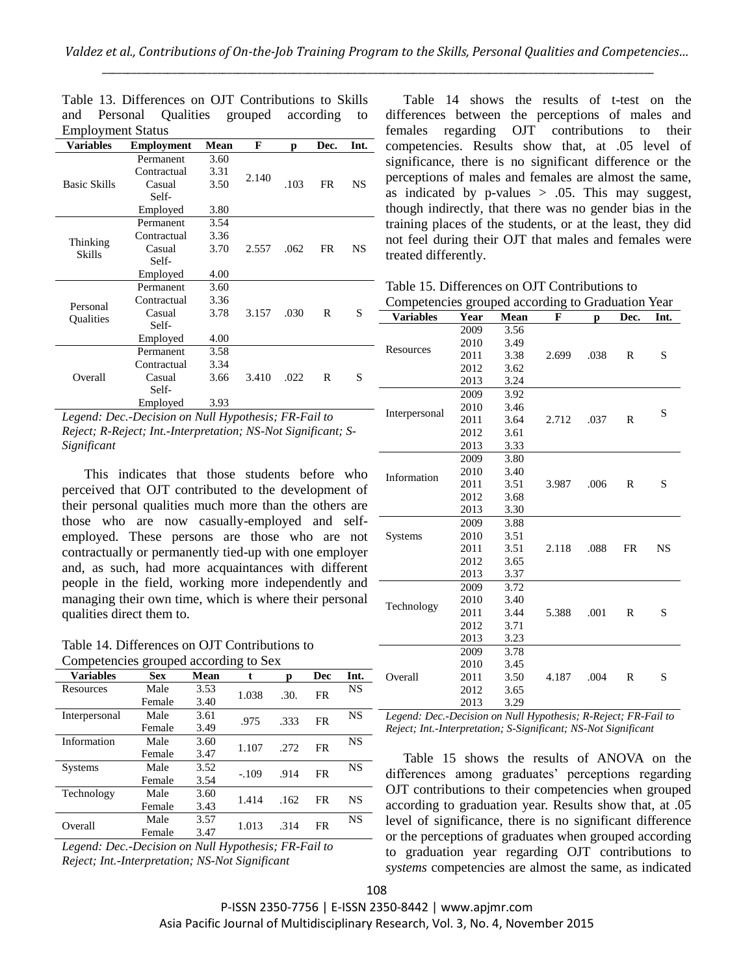| Employment Status   |                   |      |       |      |           |      |
|---------------------|-------------------|------|-------|------|-----------|------|
| <b>Variables</b>    | <b>Employment</b> | Mean | F     | D    | Dec.      | Int. |
|                     | Permanent         | 3.60 |       |      |           |      |
|                     | Contractual       | 3.31 | 2.140 |      |           |      |
| <b>Basic Skills</b> | Casual            | 3.50 |       | .103 | <b>FR</b> | NS   |
|                     | Self-             |      |       |      |           |      |
|                     | Employed          | 3.80 |       |      |           |      |
|                     | Permanent         | 3.54 |       |      |           |      |
|                     | Contractual       | 3.36 |       |      |           |      |
| Thinking<br>Skills  | Casual            | 3.70 | 2.557 | .062 | FR        | NS   |
|                     | Self-             |      |       |      |           |      |
|                     | Employed          | 4.00 |       |      |           |      |
|                     | Permanent         | 3.60 |       |      |           |      |
| Personal            | Contractual       | 3.36 |       |      |           |      |
|                     | Casual            | 3.78 | 3.157 | .030 | R         | S    |
| Qualities           | Self-             |      |       |      |           |      |
|                     | Employed          | 4.00 |       |      |           |      |
|                     | Permanent         | 3.58 |       |      |           |      |
|                     | Contractual       | 3.34 |       |      |           |      |
| Overall             | Casual            | 3.66 | 3.410 | .022 | R         | S    |
|                     | Self-             |      |       |      |           |      |
|                     | Employed          | 3.93 |       |      |           |      |

|                          |  | Table 13. Differences on OJT Contributions to Skills |  |  |  |  |  |  |
|--------------------------|--|------------------------------------------------------|--|--|--|--|--|--|
|                          |  | and Personal Qualities grouped according to          |  |  |  |  |  |  |
| <b>Employment Status</b> |  |                                                      |  |  |  |  |  |  |

*Legend: Dec.-Decision on Null Hypothesis; FR-Fail to Reject; R-Reject; Int.-Interpretation; NS-Not Significant; S-Significant*

This indicates that those students before who perceived that OJT contributed to the development of their personal qualities much more than the others are those who are now casually-employed and selfemployed. These persons are those who are not contractually or permanently tied-up with one employer and, as such, had more acquaintances with different people in the field, working more independently and managing their own time, which is where their personal qualities direct them to.

Table 14. Differences on OJT Contributions to Competencies grouped according to Sex

| <b>Variables</b> | <b>Sex</b> | <b>Mean</b> | t       | р    | Dec       | Int.      |
|------------------|------------|-------------|---------|------|-----------|-----------|
| Resources        | Male       | 3.53        | 1.038   | .30. | FR        | <b>NS</b> |
|                  | Female     | 3.40        |         |      |           |           |
| Interpersonal    | Male       | 3.61        | .975    | .333 | FR        | <b>NS</b> |
|                  | Female     | 3.49        |         |      |           |           |
| Information      | Male       | 3.60        | 1.107   | .272 | FR        | NS        |
|                  | Female     | 3.47        |         |      |           |           |
| Systems          | Male       | 3.52        | $-.109$ | .914 | <b>FR</b> | NS        |
|                  | Female     | 3.54        |         |      |           |           |
| Technology       | Male       | 3.60        | 1.414   | .162 | FR        | NS        |
|                  | Female     | 3.43        |         |      |           |           |
| Overall          | Male       | 3.57        | 1.013   | .314 | FR        | NS        |
|                  | Female     | 3.47        |         |      |           |           |

*Legend: Dec.-Decision on Null Hypothesis; FR-Fail to Reject; Int.-Interpretation; NS-Not Significant*

Table 14 shows the results of t-test on the differences between the perceptions of males and females regarding OJT contributions to their competencies. Results show that, at .05 level of significance, there is no significant difference or the perceptions of males and females are almost the same, as indicated by p-values  $> .05$ . This may suggest, though indirectly, that there was no gender bias in the training places of the students, or at the least, they did not feel during their OJT that males and females were treated differently.

Table 15. Differences on OJT Contributions to

| Competencies grouped according to Graduation Year |      |      |       |      |              |           |  |
|---------------------------------------------------|------|------|-------|------|--------------|-----------|--|
| <b>Variables</b>                                  | Year | Mean | F     | p    | Dec.         | Int.      |  |
|                                                   | 2009 | 3.56 |       |      |              |           |  |
| Resources                                         | 2010 | 3.49 |       |      |              |           |  |
|                                                   | 2011 | 3.38 | 2.699 | .038 | R            | S         |  |
|                                                   | 2012 | 3.62 |       |      |              |           |  |
|                                                   | 2013 | 3.24 |       |      |              |           |  |
|                                                   | 2009 | 3.92 |       |      |              |           |  |
|                                                   | 2010 | 3.46 |       |      |              | S         |  |
| Interpersonal                                     | 2011 | 3.64 | 2.712 | .037 | R            |           |  |
|                                                   | 2012 | 3.61 |       |      |              |           |  |
|                                                   | 2013 | 3.33 |       |      |              |           |  |
|                                                   | 2009 | 3.80 |       |      |              |           |  |
| Information                                       | 2010 | 3.40 |       |      |              |           |  |
|                                                   | 2011 | 3.51 | 3.987 | .006 | R            | S         |  |
|                                                   | 2012 | 3.68 |       |      |              |           |  |
|                                                   | 2013 | 3.30 |       |      |              |           |  |
|                                                   | 2009 | 3.88 |       |      |              |           |  |
| Systems                                           | 2010 | 3.51 |       |      |              |           |  |
|                                                   | 2011 | 3.51 | 2.118 | .088 | <b>FR</b>    | <b>NS</b> |  |
|                                                   | 2012 | 3.65 |       |      |              |           |  |
|                                                   | 2013 | 3.37 |       |      |              |           |  |
|                                                   | 2009 | 3.72 |       |      |              |           |  |
| Technology                                        | 2010 | 3.40 |       |      |              |           |  |
|                                                   | 2011 | 3.44 | 5.388 | .001 | R            | S         |  |
|                                                   | 2012 | 3.71 |       |      |              |           |  |
|                                                   | 2013 | 3.23 |       |      |              |           |  |
|                                                   | 2009 | 3.78 |       |      |              |           |  |
|                                                   | 2010 | 3.45 |       |      |              |           |  |
| Overall                                           | 2011 | 3.50 | 4.187 | .004 | $\mathbb{R}$ | S         |  |
|                                                   | 2012 | 3.65 |       |      |              |           |  |
|                                                   | 2013 | 3.29 |       |      |              |           |  |

*Legend: Dec.-Decision on Null Hypothesis; R-Reject; FR-Fail to Reject; Int.-Interpretation; S-Significant; NS-Not Significant*

Table 15 shows the results of ANOVA on the differences among graduates' perceptions regarding OJT contributions to their competencies when grouped according to graduation year. Results show that, at .05 level of significance, there is no significant difference or the perceptions of graduates when grouped according to graduation year regarding OJT contributions to *systems* competencies are almost the same, as indicated

P-ISSN 2350-7756 | E-ISSN 2350-8442 | www.apjmr.com Asia Pacific Journal of Multidisciplinary Research, Vol. 3, No. 4, November 2015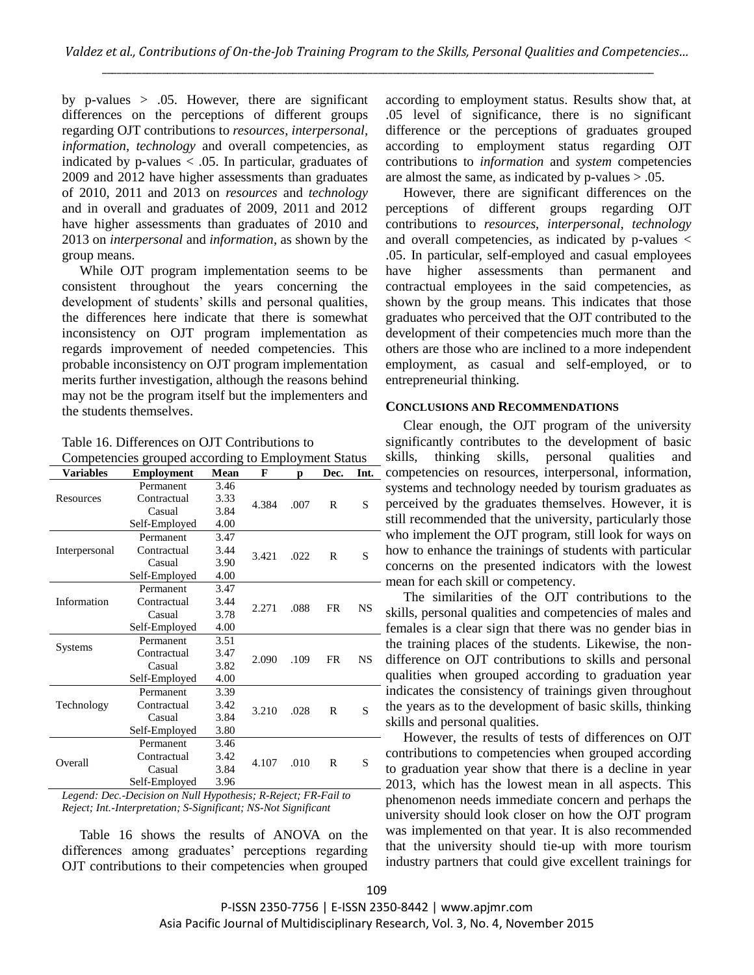by p-values  $> .05$ . However, there are significant differences on the perceptions of different groups regarding OJT contributions to *resources*, *interpersonal*, *information*, *technology* and overall competencies, as indicated by p-values < .05. In particular, graduates of 2009 and 2012 have higher assessments than graduates of 2010, 2011 and 2013 on *resources* and *technology* and in overall and graduates of 2009, 2011 and 2012 have higher assessments than graduates of 2010 and 2013 on *interpersonal* and *information*, as shown by the group means.

While OJT program implementation seems to be consistent throughout the years concerning the development of students' skills and personal qualities, the differences here indicate that there is somewhat inconsistency on OJT program implementation as regards improvement of needed competencies. This probable inconsistency on OJT program implementation merits further investigation, although the reasons behind may not be the program itself but the implementers and the students themselves.

| Table 16. Differences on OJT Contributions to |  |
|-----------------------------------------------|--|
|-----------------------------------------------|--|

| Competencies grouped according to Employment Status |  |  |
|-----------------------------------------------------|--|--|
|                                                     |  |  |

| Variables     | <b>Employment</b> | Mean          | F     | p    | Dec. | Int. |
|---------------|-------------------|---------------|-------|------|------|------|
|               | Permanent         | 3.46          |       |      |      |      |
| Resources     | Contractual       | 3.33<br>4.384 |       |      |      | S    |
|               | Casual            | 3.84          |       | .007 | R    |      |
|               | Self-Employed     | 4.00          |       |      |      |      |
|               | Permanent         | 3.47          |       |      |      |      |
| Interpersonal | Contractual       | 3.44          |       |      |      |      |
|               | Casual            | 3.90          | 3.421 | .022 | R    | S    |
|               | Self-Employed     | 4.00          |       |      |      |      |
|               | Permanent         | 3.47          |       |      |      |      |
| Information   | Contractual       | 3.44          | 2.271 | .088 | FR   | NS   |
|               | Casual            | 3.78          |       |      |      |      |
|               | Self-Employed     | 4.00          |       |      |      |      |
|               | Permanent         | 3.51          |       |      | FR   | NS   |
| Systems       | Contractual       | 3.47          | 2.090 | .109 |      |      |
|               | Casual            | 3.82          |       |      |      |      |
|               | Self-Employed     | 4.00          |       |      |      |      |
|               | Permanent         | 3.39          |       |      |      |      |
| Technology    | Contractual       | 3.42          |       | .028 |      | S    |
|               | Casual            | 3.84          | 3.210 |      | R    |      |
|               | Self-Employed     | 3.80          |       |      |      |      |
| Overall       | Permanent         | 3.46          |       |      |      |      |
|               | Contractual       | 3.42<br>4.107 |       | .010 | R    | S    |
|               | Casual            | 3.84          |       |      |      |      |
|               | Self-Employed     | 3.96          |       |      |      |      |

*Legend: Dec.-Decision on Null Hypothesis; R-Reject; FR-Fail to Reject; Int.-Interpretation; S-Significant; NS-Not Significant*

Table 16 shows the results of ANOVA on the differences among graduates' perceptions regarding OJT contributions to their competencies when grouped according to employment status. Results show that, at .05 level of significance, there is no significant difference or the perceptions of graduates grouped according to employment status regarding OJT contributions to *information* and *system* competencies are almost the same, as indicated by  $p$ -values  $> .05$ .

However, there are significant differences on the perceptions of different groups regarding OJT contributions to *resources*, *interpersonal*, *technology* and overall competencies, as indicated by p-values < .05. In particular, self-employed and casual employees have higher assessments than permanent and contractual employees in the said competencies, as shown by the group means. This indicates that those graduates who perceived that the OJT contributed to the development of their competencies much more than the others are those who are inclined to a more independent employment, as casual and self-employed, or to entrepreneurial thinking.

#### **CONCLUSIONS AND RECOMMENDATIONS**

Clear enough, the OJT program of the university significantly contributes to the development of basic skills, thinking skills, personal qualities and competencies on resources, interpersonal, information, systems and technology needed by tourism graduates as perceived by the graduates themselves. However, it is still recommended that the university, particularly those who implement the OJT program, still look for ways on how to enhance the trainings of students with particular concerns on the presented indicators with the lowest - mean for each skill or competency.

The similarities of the OJT contributions to the skills, personal qualities and competencies of males and females is a clear sign that there was no gender bias in the training places of the students. Likewise, the nondifference on OJT contributions to skills and personal qualities when grouped according to graduation year indicates the consistency of trainings given throughout the years as to the development of basic skills, thinking skills and personal qualities.

However, the results of tests of differences on OJT contributions to competencies when grouped according to graduation year show that there is a decline in year 2013, which has the lowest mean in all aspects. This phenomenon needs immediate concern and perhaps the university should look closer on how the OJT program was implemented on that year. It is also recommended that the university should tie-up with more tourism industry partners that could give excellent trainings for

P-ISSN 2350-7756 | E-ISSN 2350-8442 | www.apjmr.com Asia Pacific Journal of Multidisciplinary Research, Vol. 3, No. 4, November 2015